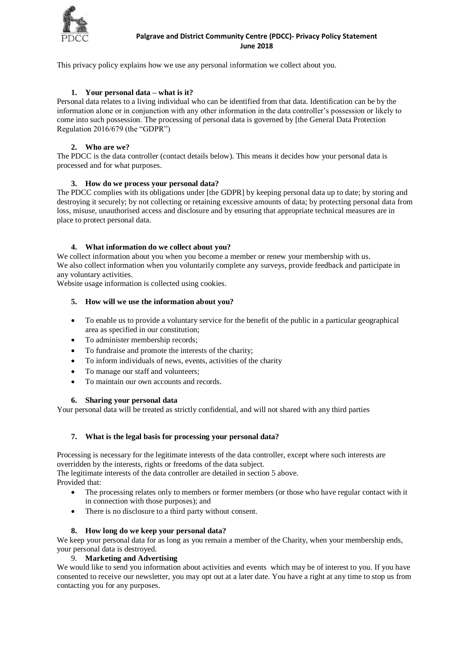

### **Palgrave and District Community Centre (PDCC)- Privacy Policy Statement June 2018**

This privacy policy explains how we use any personal information we collect about you.

# **1. Your personal data – what is it?**

Personal data relates to a living individual who can be identified from that data. Identification can be by the information alone or in conjunction with any other information in the data controller's possession or likely to come into such possession. The processing of personal data is governed by [the General Data Protection Regulation 2016/679 (the "GDPR")

# **2. Who are we?**

The PDCC is the data controller (contact details below). This means it decides how your personal data is processed and for what purposes.

### **3. How do we process your personal data?**

The PDCC complies with its obligations under [the GDPR] by keeping personal data up to date; by storing and destroying it securely; by not collecting or retaining excessive amounts of data; by protecting personal data from loss, misuse, unauthorised access and disclosure and by ensuring that appropriate technical measures are in place to protect personal data.

### **4. What information do we collect about you?**

We collect information about you when you become a member or renew your membership with us. We also collect information when you voluntarily complete any surveys, provide feedback and participate in any voluntary activities.

Website usage information is collected using cookies.

### **5. How will we use the information about you?**

- To enable us to provide a voluntary service for the benefit of the public in a particular geographical area as specified in our constitution;
- To administer membership records;
- To fundraise and promote the interests of the charity;
- To inform individuals of news, events, activities of the charity
- To manage our staff and volunteers;
- To maintain our own accounts and records.

### **6. Sharing your personal data**

Your personal data will be treated as strictly confidential, and will not shared with any third parties

### **7. What is the legal basis for processing your personal data?**

Processing is necessary for the legitimate interests of the data controller, except where such interests are overridden by the interests, rights or freedoms of the data subject.

The legitimate interests of the data controller are detailed in section 5 above. Provided that:

- The processing relates only to members or former members (or those who have regular contact with it in connection with those purposes); and
- There is no disclosure to a third party without consent.

### **8. How long do we keep your personal data?**

We keep your personal data for as long as you remain a member of the Charity, when your membership ends, your personal data is destroyed.

### 9. **Marketing and Advertising**

We would like to send you information about activities and events which may be of interest to you. If you have consented to receive our newsletter, you may opt out at a later date. You have a right at any time to stop us from contacting you for any purposes.